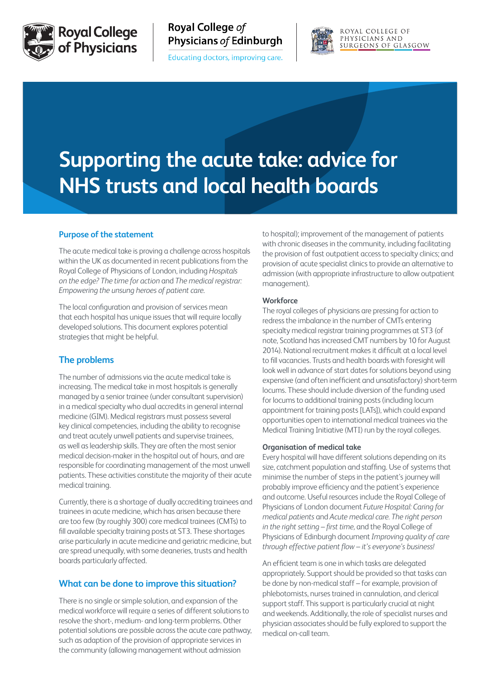

**Royal College** of Physicians Royal College of **Physicians of Edinburgh** 

Educating doctors, improving care.



ROYAL COLLEGE OF PHYSICIANS AND SURGEONS OF GLASGOW

# **Supporting the acute take: advice for NHS trusts and local health boards**

#### **Purpose of the statement**

The acute medical take is proving a challenge across hospitals within the UK as documented in recent publications from the Royal College of Physicians of London, including *[Hospitals](https://www.rcplondon.ac.uk/projects/hospitals-edge-time-action)  [on the edge? The time for action](https://www.rcplondon.ac.uk/projects/hospitals-edge-time-action)* and *[The medical registrar:](https://www.rcplondon.ac.uk/projects/medical-registrar-empowering-unsung-heroes-patient-care)  [Empowering the unsung heroes of patient care](https://www.rcplondon.ac.uk/projects/medical-registrar-empowering-unsung-heroes-patient-care)*.

The local configuration and provision of services mean that each hospital has unique issues that will require locally developed solutions. This document explores potential strategies that might be helpful.

## **The problems**

The number of admissions via the acute medical take is increasing. The medical take in most hospitals is generally managed by a senior trainee (under consultant supervision) in a medical specialty who dual accredits in general internal medicine (GIM). Medical registrars must possess several key clinical competencies, including the ability to recognise and treat acutely unwell patients and supervise trainees, as well as leadership skills. They are often the most senior medical decision-maker in the hospital out of hours, and are responsible for coordinating management of the most unwell patients. These activities constitute the majority of their acute medical training.

Currently, there is a shortage of dually accrediting trainees and trainees in acute medicine, which has arisen because there are too few (by roughly 300) core medical trainees (CMTs) to fill available specialty training posts at ST3. These shortages arise particularly in acute medicine and geriatric medicine, but are spread unequally, with some deaneries, trusts and health boards particularly affected.

## **What can be done to improve this situation?**

There is no single or simple solution, and expansion of the medical workforce will require a series of different solutions to resolve the short-, medium- and long-term problems. Other potential solutions are possible across the acute care pathway, such as adaption of the provision of appropriate services in the community (allowing management without admission

to hospital); improvement of the management of patients with chronic diseases in the community, including facilitating the provision of fast outpatient access to specialty clinics; and provision of acute specialist clinics to provide an alternative to admission (with appropriate infrastructure to allow outpatient management).

#### **Workforce**

The royal colleges of physicians are pressing for action to redress the imbalance in the number of CMTs entering specialty medical registrar training programmes at ST3 (of note, Scotland has increased CMT numbers by 10 for August 2014). National recruitment makes it difficult at a local level to fill vacancies. Trusts and health boards with foresight will look well in advance of start dates for solutions beyond using expensive (and often inefficient and unsatisfactory) short-term locums. These should include diversion of the funding used for locums to additional training posts (including locum appointment for training posts [LATs]), which could expand opportunities open to international medical trainees via the Medical Training Initiative (MTI) run by the royal colleges.

#### **Organisation of medical take**

Every hospital will have different solutions depending on its size, catchment population and staffing. Use of systems that minimise the number of steps in the patient's journey will probably improve efficiency and the patient's experience and outcome. Useful resources include the Royal College of Physicians of London document *[Future Hospital: Caring for](https://www.rcplondon.ac.uk/projects/future-hospital-commission)  [medical patients](https://www.rcplondon.ac.uk/projects/future-hospital-commission)* and *[Acute medical care. The right person](https://www.rcplondon.ac.uk/sites/default/files/documents/acute_medical_care_final_for_web.pdf)  [in the right setting – first time](https://www.rcplondon.ac.uk/sites/default/files/documents/acute_medical_care_final_for_web.pdf),* and the Royal College of Physicians of Edinburgh document *[Improving quality of care](http://www.rcpe.ac.uk/sites/default/files/files/final_statement_patient_flow_.pdf)  [through effective patient flow – it's everyone's business!](http://www.rcpe.ac.uk/sites/default/files/files/final_statement_patient_flow_.pdf)*

An efficient team is one in which tasks are delegated appropriately. Support should be provided so that tasks can be done by non-medical staff – for example, provision of phlebotomists, nurses trained in cannulation, and clerical support staff. This support is particularly crucial at night and weekends. Additionally, the role of specialist nurses and physician associates should be fully explored to support the medical on-call team.